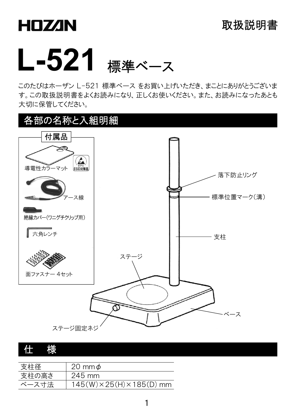# **HDZAN**



このたびはホーザン L-521 標準ベース をお買い上げいただき、まことにありがとうございま す。この取扱説明書をよくお読みになり、正しくお使いください。また、お読みになったあとも 大切に保管してください。



#### 仕 様

| 支柱径   | 20 mm $\phi$                           |
|-------|----------------------------------------|
| 支柱の高さ | $245 \text{ mm}$                       |
| ベース寸法 | $145(W) \times 25(H) \times 185(D)$ mm |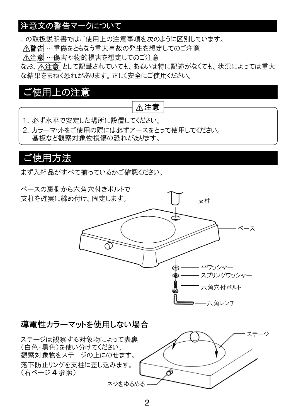#### 注意文の警告マークについて

この取扱説明書ではご使用上の注意事項を次のように区別しています。

警告 …重傷をともなう重大事故の発生を想定してのご注意

注意 …傷害や物的損害を想定してのご注意

なお、「へ注意」として記載されていても、あるいは特に記述がなくても、状況によっては重大 な結果をまねく恐れがあります。正しく安全にご使用ください。

### ご使用上の注意

#### 注意

- 1.必ず水平で安定した場所に設置してください。
- 2. カラーマットをご使用の際には必ずアースをとって使用してください。 基板など観察対象物損傷の恐れがあります。

# ご使用方法

まず入組品がすべて揃っているかご確認ください。



#### 導電性カラーマットを使用しない場合

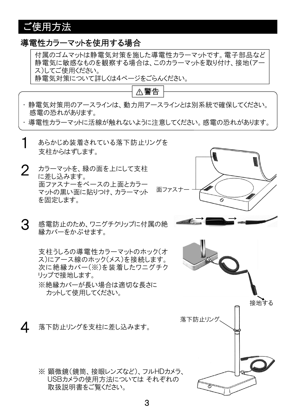# ご使用方法

#### 導電性カラーマットを使用する場合

付属のゴムマットは静電気対策を施した導電性カラーマットです。電子部品など 静電気に敏感なものを観察する場合は、このカラーマットを取り付け、接地(アー ス)してご使用ください。

静電気対策について詳しくは4ページをごらんください。



・ 静電気対策用のアースラインは、動力用アースラインとは別系統で確保してください。 感電の恐れがあります。

・ 導電性カラーマットに活線が触れないように注意してください。感電の恐れがあります。

- あらかじめ装着されている落下防止リングを 支柱からはずします。 1
- 2 カラーマットを、緑の面を上にして支柱 に差し込みます。 面ファスナーをベースの上面とカラー マットの黒い面に貼りつけ、カラーマット を固定します。
- 3 感電防止のため、ワニグチクリップに付属の絶 縁カバーをかぶせます。

支柱うしろの導電性カラーマットのホック(オ ス)にアース線のホック(メス)を接続します。 次に絶縁カバー(※)を装着したワニグチク リップで接地します。

※絶縁カバーが長い場合は適切な長さに カットして使用してください。

4 落下防止リングを支柱に差し込みます。

※ 顕微鏡(鏡筒、接眼レンズなど)、フルHDカメラ、 USBカメラの使用方法については それぞれの 取扱説明書をご覧ください。

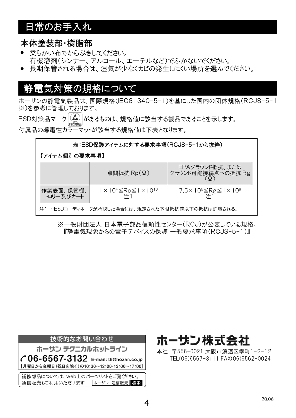# 日常のお手入れ

#### 本体塗装部・樹脂部

- 柔らかい布でからぶきしてください。 有機溶剤(シンナー、アルコール、エーテルなど)でふかないでください。
- 長期保管される場合は、湿気が少なくカビの発生しにくい場所を選んでください。

#### 静電気対策の規格について

ホーザンの静電気製品は、国際規格(IEC61340-5-1)を基にした国内の団体規格(RCJS-5-1 ※)を参考に管理しております。

 $\mathsf{ESD}$ 対策品マーク $\widehat{\mathcal{L}_{\mathbf{S}^{\text{BM}}_{\text{BM}}}$ があるものは、規格値に該当する製品であることを示します。 付属品の導電性カラーマットが該当する規格値は下表となります。

| 表:ESD保護アイテムに対する要求事項(RCJS-5-1から抜粋)              |                                              |                                                 |  |  |  |  |
|------------------------------------------------|----------------------------------------------|-------------------------------------------------|--|--|--|--|
|                                                | 【アイテム個別の要求事項】                                |                                                 |  |  |  |  |
|                                                | 点間抵抗 $Rp(\Omega)$                            | EPAグラウンド抵抗、または<br>グラウンド可能接続点への抵抗 Rg             |  |  |  |  |
| 作業表面、保管棚、<br>トロリー及びカート                         | $1 \times 10^4$ ≤Rp≤1×10 <sup>10</sup><br>注1 | 7.5×10 <sup>5</sup> ≤Rg≤1×10 <sup>9</sup><br>注1 |  |  |  |  |
| 注1 …ESDコーディネータが承認した場合には、規定された下限抵抗値以下の抵抗は許容される。 |                                              |                                                 |  |  |  |  |

※一般財団法人 日本電子部品信頼性センター(RCJ)が公表している規格。 『静電気現象からの電子デバイスの保護 一般要求事項(RCJS-5-1)』





本社 〒556-0021 大阪市浪速区幸町1-2-12 TEL(06)6567-3111 FAX(06)6562-0024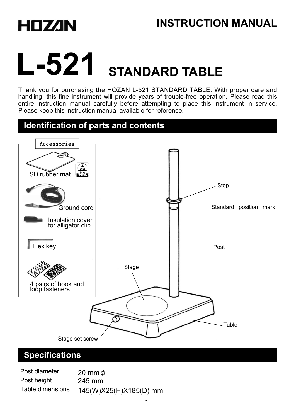



# **L-521 STANDARD TABLE**

Thank you for purchasing the HOZAN L-521 STANDARD TABLE. With proper care and handling, this fine instrument will provide years of trouble-free operation. Please read this entire instruction manual carefully before attempting to place this instrument in service. Please keep this instruction manual available for reference.

#### **Identification of parts and contents**



#### **Specifications**

| Post diameter    | 20 mm $\phi$           |
|------------------|------------------------|
| Post height      | $^{\circ}$ 245 mm      |
| Table dimensions | 145(W)X25(H)X185(D) mm |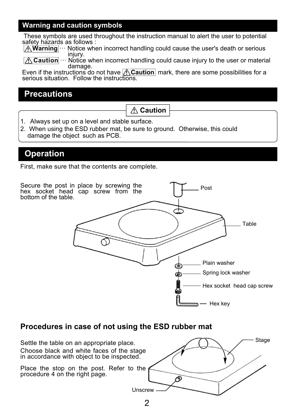#### **Warning and caution symbols**

These symbols are used throughout the instruction manual to alert the user to potential safety hazards as follows :

A **Warning** … Notice when incorrect handling could cause the user's death or serious injury.

Notice when incorrect handling could cause injury to the user or material damage.

Even if the instructions do not have **A Caution** mark, there are some possibilities for a serious situation. Follow the instructions.

#### **Precautions**

**Caution**

- 1. Always set up on a level and stable surface.
- 2. When using the ESD rubber mat, be sure to ground. Otherwise, this could damage the object such as PCB.

#### **Operation**

First, make sure that the contents are complete.



#### **Procedures in case of not using the ESD rubber mat**

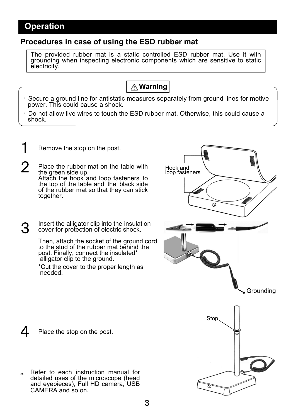#### **Operation**

#### **Procedures in case of using the ESD rubber mat**

The provided rubber mat is a static controlled ESD rubber mat. Use it with grounding when inspecting electronic components which are sensitive to static electricity.



- ・ Secure a ground line for antistatic measures separately from ground lines for motive power. This could cause a shock.
- $\cdot$  Do not allow live wires to touch the ESD rubber mat. Otherwise, this could cause a shock.

Hook and loop fasteners

- Remove the stop on the post.
- $2$  Place the rubber mat on the table with the green side up. Attach the hook and loop fasteners to the top of the table and the black side of the rubber mat so that they can stick together.
- 3 Insert the alligator clip into the insulation cover for protection of electric shock.

Then, attach the socket of the ground cord to the stud of the rubber mat behind the post. Finally, connect the insulated\* alligator clip to the ground.

\*Cut the cover to the proper length as needed.

Grounding Stop Ж

ര

Place the stop on the post.

Refer to each instruction manual for detailed uses of the microscope (head and eyepieces), Full HD camera, USB CAMERA and so on. \*